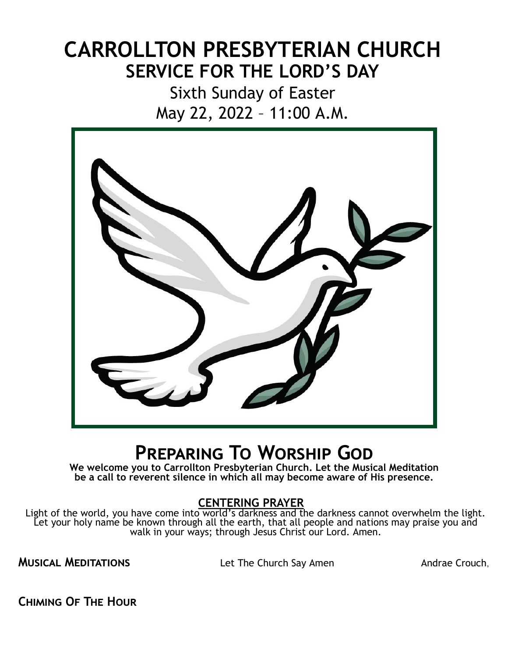# **CARROLLTON PRESBYTERIAN CHURCH SERVICE FOR THE LORD'S DAY**

Sixth Sunday of Easter May 22, 2022 – 11:00 A.M.



# **Preparing To Worship God**

**We welcome you to Carrollton Presbyterian Church. Let the Musical Meditation be a call to reverent silence in which all may become aware of His presence.**

## **CENTERING PRAYER**

Light of the world, you have come into world's darkness and the darkness cannot overwhelm the light. Let your holy name be known through all the earth, that all people and nations may praise you and walk in your ways; through Jesus Christ our Lord. Amen.

**MUSICAL MEDITATIONS** Let The Church Say Amen Andrae Crouch,

**Chiming Of The Hour**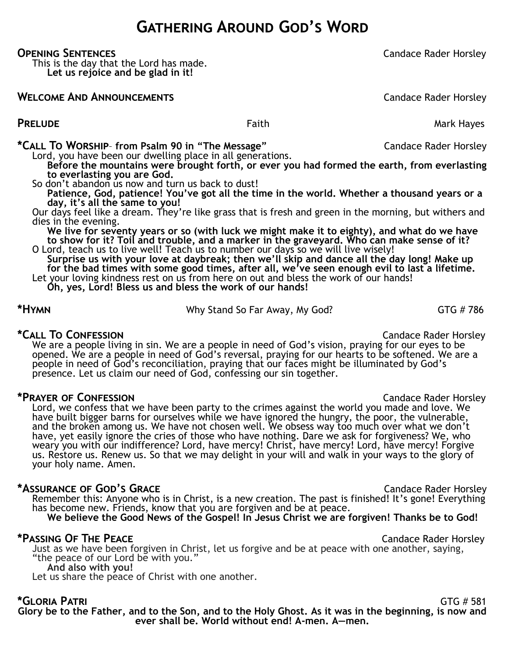# **Gathering Around God's Word**

**Opening Sentences** Candace Rader Horsley

This is the day that the Lord has made. **Let us rejoice and be glad in it!**

## **WELCOME AND ANNOUNCEMENTS Candace Rader Horsley**

**PRELUDE** Mark Hayes

**\*Call To Worship**– **from Psalm 90 in "The Message"** Candace Rader Horsley

Lord, you have been our dwelling place in all generations.

**Before the mountains were brought forth, or ever you had formed the earth, from everlasting to everlasting you are God.**

So don't abandon us now and turn us back to dust!

**Patience, God, patience! You've got all the time in the world. Whether a thousand years or a day, it's all the same to you!**

Our days feel like a dream. They're like grass that is fresh and green in the morning, but withers and dies in the evening.

**We live for seventy years or so (with luck we might make it to eighty), and what do we have to show for it? Toil and trouble, and a marker in the graveyard. Who can make sense of it?**

O Lord, teach us to live well! Teach us to number our days so we will live wisely! **Surprise us with your love at daybreak; then we'll skip and dance all the day long! Make up for the bad times with some good times, after all, we've seen enough evil to last a lifetime.** Let your loving kindness rest on us from here on out and bless the work of our hands!

**Oh, yes, Lord! Bless us and bless the work of our hands!**

**\*HYMN EXECUTE:** THE WHY Stand So Far Away, My God? GTG # 786

\*CALL TO CONFESSION **CALL TO CONFESSION** We are a people living in sin. We are a people in need of God's vision, praying for our eyes to be opened. We are a people in need of God's reversal, praying for our hearts to be softened. We are a people in need of God's reconciliation, praying that our faces might be illuminated by God's presence. Let us claim our need of God, confessing our sin together.

**\*Prayer of Confession** Candace Rader Horsley Lord, we confess that we have been party to the crimes against the world you made and love. We have built bigger barns for ourselves while we have ignored the hungry, the poor, the vulnerable, and the broken among us. We have not chosen well. We obsess way too much over what we don't have, yet easily ignore the cries of those who have nothing. Dare we ask for forgiveness? We, who weary you with our indifference? Lord, have mercy! Christ, have mercy! Lord, have mercy! Forgive us. Restore us. Renew us. So that we may delight in your will and walk in your ways to the glory of your holy name. Amen.

# \*ASSURANCE OF GOD<sup>'</sup>S GRACE **COMPUTE A SET A CANDIDATE CANDANCE CANDANCE A** CANDIDATE CANDIDATE CANDIDATE **CANDIDATE A**

Remember this: Anyone who is in Christ, is a new creation. The past is finished! It's gone! Everything has become new. Friends, know that you are forgiven and be at peace. **We believe the Good News of the Gospel! In Jesus Christ we are forgiven! Thanks be to God!**

# **\*Passing Of The Peace** Candace Rader Horsley

Just as we have been forgiven in Christ, let us forgive and be at peace with one another, saying, "the peace of our Lord be with you."

## **And also with you!**

Let us share the peace of Christ with one another.

**\*Gloria Patri** GTG # 581 **Glory be to the Father, and to the Son, and to the Holy Ghost. As it was in the beginning, is now and ever shall be. World without end! A-men. A—men.**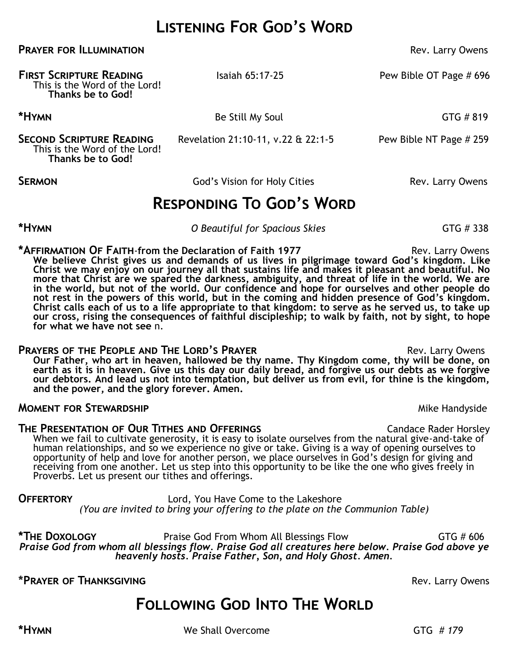# **Listening For God's Word**

**PRAYER FOR ILLUMINATION PRAYER FOR ILLUMINATION** 

**First Scripture Reading** Isaiah 65:17-25Pew Bible OT Page # 696 This is the Word of the Lord! **Thanks be to God! \*Hymn** Be Still My Soul GTG # 819 **SECOND SCRIPTURE READING** Revelation 21:10-11, v.22 & 22:1-5 Pew Bible NT Page # 259 This is the Word of the Lord! **Thanks be to God!**

**SERMON God's Vision for Holy Cities** Rev. Larry Owens

**Responding To God's Word**

**\*Hymn** *O Beautiful for Spacious Skies* GTG # 338

**\*AFFIRMATION OF FAITH-from the Declaration of Faith 1977** Rev. Larry Owens **We believe Christ gives us and demands of us lives in pilgrimage toward God's kingdom. Like Christ we may enjoy on our journey all that sustains life and makes it pleasant and beautiful. No more that Christ are we spared the darkness, ambiguity, and threat of life in the world. We are in the world, but not of the world. Our confidence and hope for ourselves and other people do not rest in the powers of this world, but in the coming and hidden presence of God's kingdom. Christ calls each of us to a life appropriate to that kingdom: to serve as he served us, to take up our cross, rising the consequences of faithful discipleship; to walk by faith, not by sight, to hope for what we have not see** n.

### **PRAYERS OF THE PEOPLE AND THE LORD'S PRAYER <b>EXAMPLE 2008** Rev. Larry Owens

**Our Father, who art in heaven, hallowed be thy name. Thy Kingdom come, thy will be done, on earth as it is in heaven. Give us this day our daily bread, and forgive us our debts as we forgive our debtors. And lead us not into temptation, but deliver us from evil, for thine is the kingdom, and the power, and the glory forever. Amen.**

### **MOMENT FOR STEWARDSHIP** MINITIAL SERVICE STRANGERS AND MINITIAL MINITIAL MINITIAL MINITIAL MINITIAL MINITIAL MINITIAL MINITIAL MINITIAL MINITIAL MINITIAL MINITIAL MINITIAL MINITIAL MINITIAL MINITIAL MINITIAL MINITIAL MINI

**THE PRESENTATION OF OUR TITHES AND OFFERINGS Candace Rader Horsley** When we fail to cultivate generosity, it is easy to isolate ourselves from the natural give-and-take of human relationships, and so we experience no give or take. Giving is a way of opening ourselves to opportunity of help and love for another person, we place ourselves in God's design for giving and receiving from one another. Let us step into this opportunity to be like the one who gives freely in Proverbs. Let us present our tithes and offerings.

**Offertory** Lord, You Have Come to the Lakeshore *(You are invited to bring your offering to the plate on the Communion Table)*

**\*The Doxology** Praise God From Whom All Blessings Flow GTG # 606 *Praise God from whom all blessings flow. Praise God all creatures here below. Praise God above ye heavenly hosts. Praise Father, Son, and Holy Ghost. Amen.*

**\*Prayer of Thanksgiving** Rev. Larry Owens

# **FOLLOWING GOD INTO THE WORLD**

**\*Hymn** We Shall Overcome GTG *# 179*